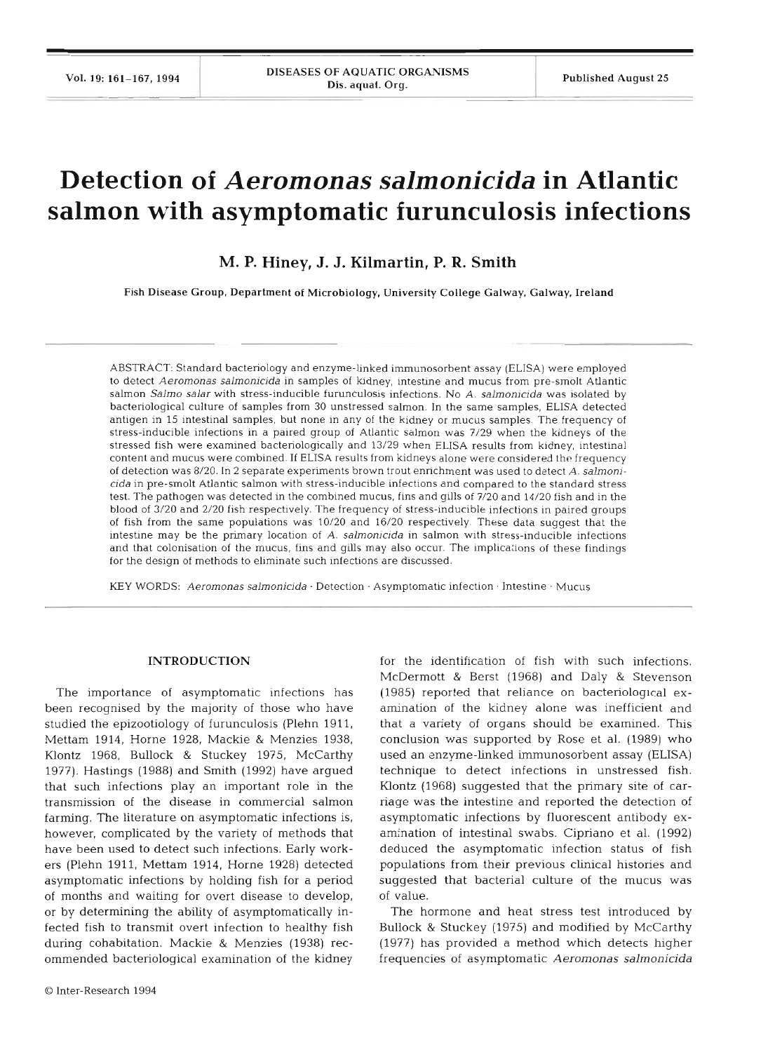# **Detection of** *Aeromonas salmonicida* **in Atlantic salmon with asymptomatic furunculosis infections**

**M. P. Hiney, J. J. Kilmartin, P. R. Smith** 

Fish Disease Group, Department of Microbiology, University College Galway. Galway. Ireland

ABSTRACT: Standard bacteriology and enzyme-linked imrnunosorbent assay (ELISA) were employed to detect Aeromonas salmonicida in samples of kidney, intestine and mucus from pre-smolt Atlantic salmon Salmo salar with stress-inducible furunculosis infections. No A. salmonicida was isolated by bacteriological culture of samples from 30 unstressed salmon. In the same samples. ELISA detected antigen in 15 intestinal samples, but none in any of the kidney or mucus samples. The frequency of stress-inducible infections in a paired group of Atlantic salmon was 7/29 when the kidneys of the stressed fish were examined bacteriologically and 13/29 when ELISA results from kidney, intestinal content and mucus were combined. If ELISA results from kidneys alone were considered the frequency of detection was 8/20. In 2 separate experiments brown trout enrichment was used to detect A. salmonicida in pre-smolt Atlantic salmon with stress-inducible infections and compared to the standard stress test. The pathogen was detected in the combined mucus, fins and gills of 7/20 and 14/20 fish and in the blood of 3/20 and 2/20 fish respectively. The frequency of stress-inducible infections in paired groups of fish from the same populations was 10/20 and 16/20 respectively. These data suggest that the intestine may be the primary location of A. salmonicida in salmon with stress-inducible infections and that colonisation of the mucus, fins and gills may also occur. The implications of these findings for the design of methods to eliminate such infections are discussed.

**KEY** WORDS: Aeromonas salmonicida . Detection . Asymptomatic infection . Intestine . Mucus

#### **INTRODUCTION**

The importance of asymptomatic infections has been recognised by the majority of those who have studied the epizootiology of furunculosis (Plehn 1911, Mettam 1914, Horne 1928, Mackie & Menzies 1938, Klontz 1968, Bullock & Stuckey 1975, McCarthy 1977). Hastings (1988) and Smith (1992) have argued that such infections play an important role in the transmission of the disease in commercial salmon farming. The literature on asymptomatic infections is, however, complicated by the variety of methods that have been used to detect such infections. Early workers (Plehn 1911, Mettam 1914, Horne 1928) detected asymptomatic infections by holding fish for a period of months and waiting for overt disease to develop, or by determining the ability of asyrnptomatically infected fish to transmit overt infection to healthy fish during cohabitation. Mackie & Menzies (1938) recommended bacteriological examination of the kidney

McDermott & Berst (1968) and Daly & Stevenson (1985) reported that reliance on bacteriological examination of the kidney alone was inefficient and that a variety of organs should be examined. This conclusion was supported by Rose et al. (1989) who used an enzyrne-linked immunosorbent assay (ELISA) technique to detect infections in unstressed fish. Klontz (1968) suggested that the primary site of carnage was the intestine and reported the detection of asymptomatic infections by fluorescent antibody examination of intestinal swabs. Cipriano et al. (1992) deduced the asymptomatic infection status of fish populations from their previous clinical histories and suggested that bacterial culture of the mucus was of value.

for the identification of fish with such infections.

The hormone and heat stress test introduced by Bullock & Stuckey (1975) and modified by McCarthy (1977) has provided a method which detects higher frequencies of asymptomatic *Aeromonas salmonicida*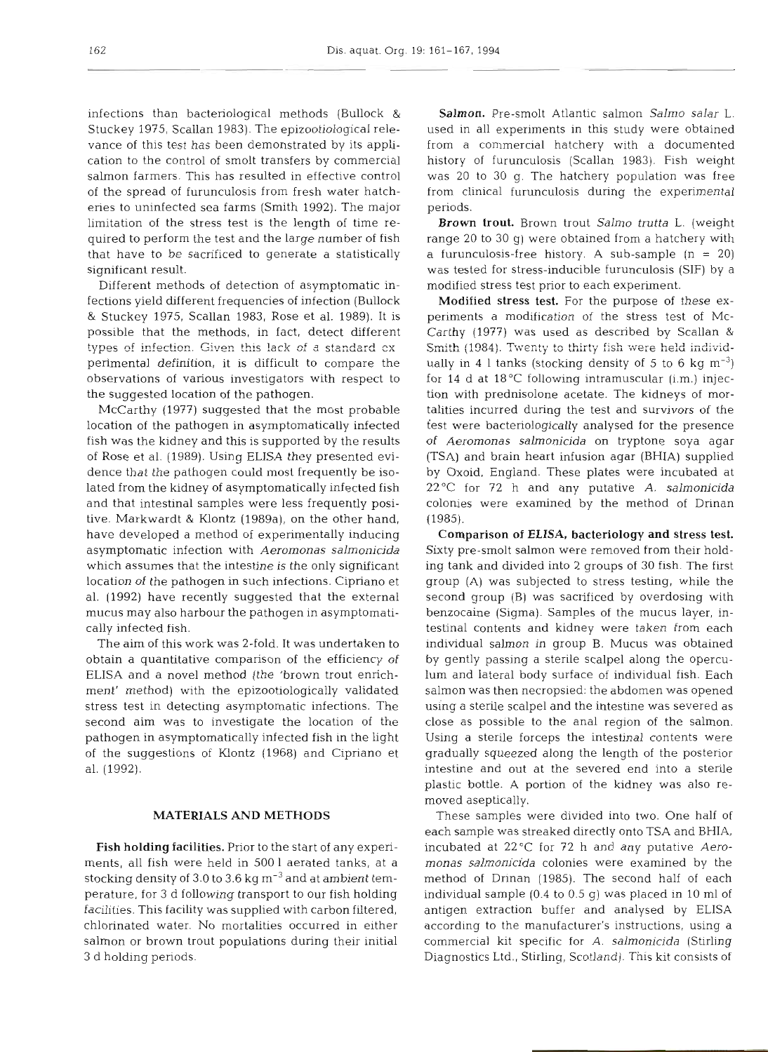infections than bacteriological methods (Bullock & Stuckey 1975, Scallan 1983). The epizootiological relevance of this test has been demonstrated by its application to the control of smolt transfers by commercial salmon farmers. This has resulted in effective control of the spread of furunculosis from fresh water hatcheries to uninfected sea farms (Smith 1992). The major limitation of the stress test is the length of time required to perform the test and the large number of fish that have to be sacrificed to generate a statistically significant result.

Different methods of detection of asymptomatic infections yield dfferent frequencies of infection (Bullock & Stuckey 1975, Scallan 1983, Rose et al. 1989). It is possible that the methods, in fact, detect different types of infection. Given this lack of a standard cx perimental definition, it is difficult to compare the observations of various investigators with respect to the suggested location of the pathogen.

McCarthy (1977) suggested that the most probable location of the pathogen in asymptomatically infected fish was the kidney and this is supported by the results of Rose et al. (1989). Using ELISA they presented evidence that the pathogen could most frequently be isolated from the kidney of asymptomatically infected fish and that intestinal samples were less frequently positive. Markwardt & Klontz (1989a), on the other hand, have developed a method of experimentally inducing asymptomatic infection with *Aeromonas salmonicida*  which assumes that the intestine is the only significant location of the pathogen in such infections. Cipriano et al. (1992) have recently suggested that the external mucus may also harbour the pathogen in asymptomatically infected fish.

The aim of this work was 2-fold. It was undertaken to obtain a quantitative comparison of the efficiency of ELISA and a novel method (the 'brown trout enrichment' method) with the epizootiologically validated stress test in detecting asymptomatic infections. The second aim was to investigate the location of the pathogen in asymptomatically infected fish in the light of the suggestions of Klontz (1968) and Cipriano et al. (1992).

#### **MATERIALS AND METHODS**

Fish holding facilities. Prior to the start of any experiments, all fish were held in 500 1 aerated tanks, at a stocking density of 3.0 to 3.6 kg  $\text{m}$ <sup>-3</sup> and at ambient temperature, for 3 d following transport to our fish holding facilities. This facility was supplied with carbon filtered, chlorinated water. No mortalities occurred in either salmon or brown trout populations during their initial **3** d holding periods.

Salmon. Pre-smolt Atlantic salmon *Salmo salar* L. used in all experiments in this study were obtained from a commercial hatchery with a documented history of furunculosis (Scallan 1983). Fish weight was 20 to 30 g. The hatchery population was free from clinical furunculosis during the experimental periods.

Brown trout. Brown trout *Salmo trutta* L. (weight range 20 to 30 g) were obtained from a hatchery with a furunculosis-free history. A sub-sample  $(n = 20)$ was tested for stress-inducible furunculosis (SIF) by a modified stress test prior to each experiment.

Modified stress test. For the purpose of these experiments a modification of the stress test of Mc-Carthy (1977) was used as described by Scallan & Smith (1984). Twenty to thirty fish were held individually in 4 l tanks (stocking density of 5 to 6 kg  $m^{-3}$ ) for 14 d at 18°C following intramuscular (i.m.) injection with prednisolone acetate. The kidneys of mortalities incurred during the test and survivors of the test were bacteriologically analysed for the presence of *Aeromonas salmonicida* on tryptone soya agar (TSA) and brain heart infusion agar (BHIA) supplied by Oxoid, England. These plates were incubated at 22°C for 72 h and any putative A. *salmonicida*  colonies were examined by the method of Drinan (1985).

Comparison of **ELISA,** bacteriology and stress test. Sixty pre-smolt salmon were removed from their holding tank and divided into 2 groups of 30 fish. The first group (A) was subjected to stress testing, while the second group (B) was sacrificed by overdosing with benzocaine (Sigma). Samples of the mucus layer, intestinal contents and kidney were taken from each individual salmon in group B. Mucus was obtained by gently passing a sterile scalpel along the operculum and lateral body surface of individual fish. Each salmon was then necropsied: the abdomen was opened using a sterile scalpel and the intestine was severed as close as possible to the anal region of the salmon. Using a sterile forceps the intestinal contents were gradually squeezed along the length of the posterior intestine and out at the severed end into a sterile plastic bottle. A portion of the kidney was also removed aseptically.

These samples were divided into two. One half of each sample was streaked directly onto TSA and BHIA, incubated at 22°C for 72 h and any putative *Aeromonas salmonicida* colonies were examined by the method of Drinan (1985). The second half of each individual sample (0.4 to 0.5 g) was placed in 10 m1 of antigen extraction buffer and analysed by ELISA according to the manufacturer's instructions, using a commercial kit specific for *A, salmonicida* (Stirling Diagnostics Ltd., Stirling, Scotland). This kit consists of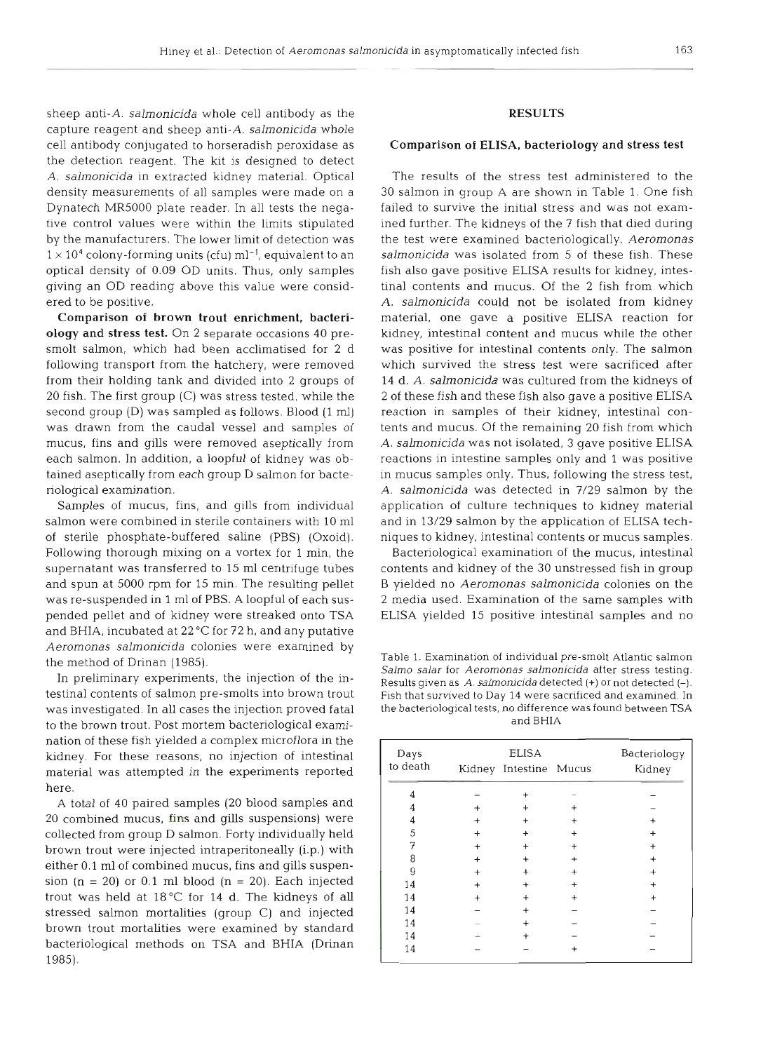sheep anti-A. salmonicida whole cell antibody as the capture reagent and sheep anti-A. salmonicida whole cell antibody conjugated to horseradish peroxidase as the detection reagent. The kit is designed to detect A. salmonicida in extracted kidney material. Optical density measurements of all samples were made on a Dynatech MR5000 plate reader. In all tests the negative control values were within the limits stipulated by the manufacturers. The lower limit of detection was  $1 \times 10^4$  colony-forming units (cfu) ml<sup>-1</sup>, equivalent to an optical density of 0.09 OD units. Thus, only samples giving an OD reading above this value were considered to be positive.

Comparison of brown trout enrichment, bacteriology and stress test. On 2 separate occasions 40 presmolt salmon, which had been acclimatised for 2 d following transport from the hatchery, were removed from their holding tank and divided into 2 groups of 20 fish. The first group (C) was stress tested, while the second group (D) was sampled as follows. Blood (1 ml) was drawn from the caudal vessel and samples of mucus, fins and gills were removed aseptically from each salmon. In addition, a loopful of kidney was obtained aseptically from each group D salmon for bacteriological examination.

Samples of mucus, fins, and gills from individual salmon were combined in sterile containers with 10 m1 of sterile phosphate-buffered saline (PBS) (Oxoid). Following thorough mixing on a vortex for 1 min, the supernatant was transferred to 15 m1 centrifuge tubes and spun at 5000 rpm for 15 min. The resulting pellet was re-suspended in 1 m1 of PBS. A loopful of each suspended pellet and of kidney were streaked onto TSA and BHIA, incubated at  $22^{\circ}$ C for 72 h, and any putative Aeromonas salmonicida colonies were examined by the method of Drinan (1985).

In preliminary experiments, the injection of the intestinal contents of salmon pre-smolts into brown trout was investigated. In all cases the injection proved fatal to the brown trout. Post mortem bacteriological examination of these fish yielded a complex microflora in the kidney. For these reasons, no injection of intestinal material was attempted in the experiments reported here.

A total of 40 paired samples (20 blood samples and 20 combined mucus, fins and gills suspensions) were collected from group D salmon. Forty individually held brown trout were injected intraperitoneally (i.p.) with either 0.1 m1 of combined mucus, fins and gills suspension  $(n = 20)$  or 0.1 ml blood  $(n = 20)$ . Each injected trout was held at 18°C for 14 d. The kidneys of **all**  stressed salmon mortalities (group C) and injected brown trout mortalities were examined by standard bacteriological methods on TSA and BHIA (Drinan 1985).

#### **RESULTS**

#### Comparison **of** ELISA, bacteriology and stress test

The results of the stress test administered to the 30 salmon in group A are shown in Table 1. One fish failed to survive the initial stress and was not examined further. The kidneys of the 7 fish that died during the test were examined bacteriologically. Aeromonas salmonicida was isolated from 5 of these fish. These fish also gave positive ELISA results for kidney, intestinal contents and mucus. Of the 2 fish from which A. salmonicida could not be isolated from kidney material, one gave a positive ELISA reaction for kidney, intestinal content and mucus while the other was positive for intestinal contents only. The salmon which survived the stress test were sacrificed after 14 d. A. salmonicida was cultured from the kidneys of 2 of these fish and these fish also gave a positive ELISA reaction in samples of their kidney, intestinal contents and mucus. Of the remaining 20 fish from which A. salmonicida was not isolated, 3 gave positive ELISA reactions in intestine samples only and 1 was positive in mucus samples only. Thus, following the stress test, A. salmonicida was detected in 7/29 salmon by the application of culture techniques to kidney material and in 13/29 salmon by the application of ELISA techniques to kidney, intestinal contents or mucus samples.

Bacteriological examination of the mucus, intestinal contents and kidney of the 30 unstressed fish in group B yielded no Aeromonas salmonicida colonies on the 2 media used. Examination of the same samples with ELISA yielded 15 positive intestinal samples and no

Table 1. Examination of individual pre-smolt Atlantic salmon *Salmo salar* for *Aeromonas salmonicida* after stress testing. Results given as A. salmonicida detected (+) or not detected (-). Fish that survived to Day 14 were sacrificed and examined. In the bacteriological tests, no difference was found between TSA and BHIA

| Days     |           | Bacteriology                           |           |        |
|----------|-----------|----------------------------------------|-----------|--------|
| to death |           | <b>ELISA</b><br>Kidney Intestine Mucus |           | Kidney |
| 4        |           | $\ddot{}$                              |           |        |
|          | $\ddot{}$ |                                        | $\ddot{}$ |        |
| 4        | $^{+}$    |                                        | $^{+}$    |        |
| 5        | $^{+}$    |                                        | $\ddot{}$ |        |
| 7        | $\ddot{}$ | $\ddot{}$                              | $\ddot{}$ |        |
| 8        | $\ddot{}$ |                                        | $\ddot{}$ |        |
| 9        | $\ddot{}$ |                                        |           |        |
| 14       | $\ddot{}$ |                                        | $^{+}$    |        |
| 14       | $\ddot{}$ |                                        | $^{+}$    |        |
| 14       |           |                                        |           |        |
| 14       |           |                                        |           |        |
| 14       |           |                                        |           |        |
| 14       |           |                                        |           |        |
|          |           |                                        |           |        |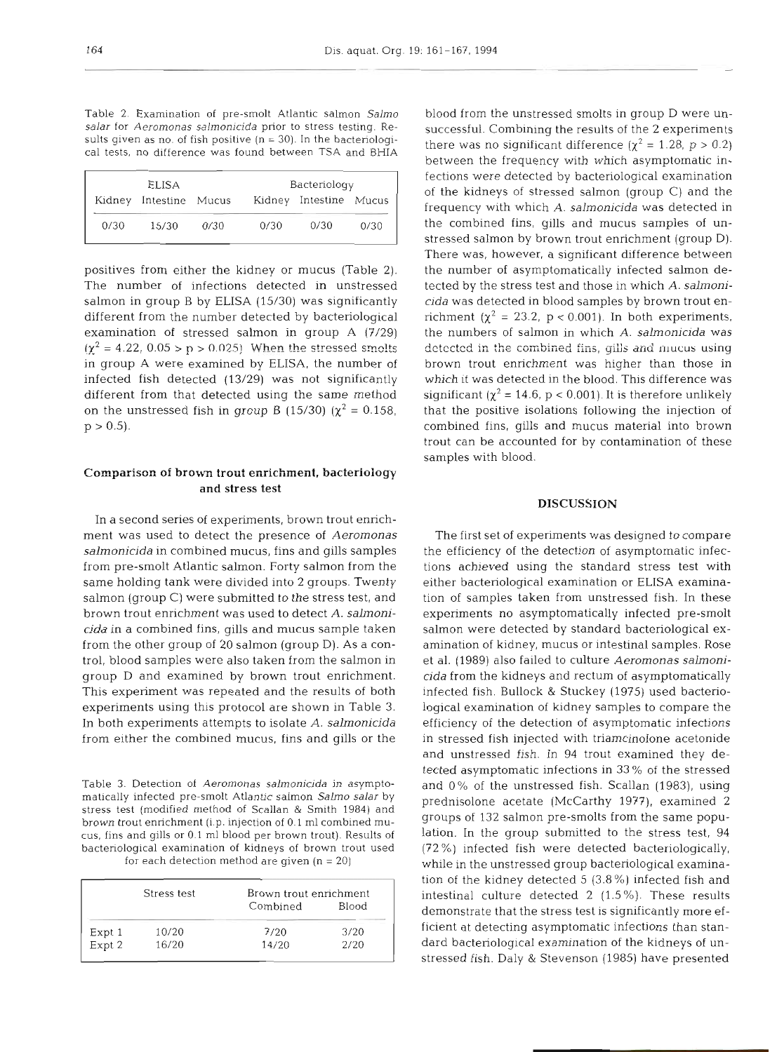Table 2. Examination of pre-smolt Atlantic salmon *Salmo salar* for *Aeromonas salmonicida* prior to stress testing. Results given as no. of fish positive  $(n = 30)$ . In the bacteriological tests, no difference was found between TSA and BHIA

| <b>ELISA</b> |                        |      | Bacteriology |                        |      |
|--------------|------------------------|------|--------------|------------------------|------|
|              | Kidney Intestine Mucus |      |              | Kidney Intestine Mucus |      |
| 0/30         | 15/30                  | 0/30 | 0/30         | 0/30                   | 0/30 |

positives from either the kidney or mucus (Table 2). The number of infections detected in unstressed salmon in group B by ELISA (15/30) was significantly different from the number detected by bacteriological examination of stressed salmon in group A (7/29)  $(\chi^2 = 4.22, 0.05 > p > 0.025)$  When the stressed smolts in group **A** were examined by ELISA, the number of infected fish detected (13/29) was not significantly different from that detected using the same method on the unstressed fish in group B (15/30) ( $\chi^2 = 0.158$ ,  $p > 0.5$ ).

### Comparison of brown trout enrichment, bacteriology and stress test

In a second series of experiments, brown trout ennchment was used to detect the presence of *Aeromonas salmonicida* in combined mucus, fins and gills samples from pre-smolt Atlantic salmon. Forty salmon from the same holding tank were divided into 2 groups. Twenty salmon (group C) were submitted to the stress test, and brown trout enrichment was used to detect *A. salmonicida* in a combined fins, gills and mucus sample taken from the other group of 20 salmon (group D). As a control, blood samples were also taken from the salmon in group D and examined by brown trout enrichment. This experiment was repeated and the results of both experiments using this protocol are shown in Table 3. In both experiments attempts to isolate A. *salmonicida*  from either the combined mucus, fins and gills or the

Table **3.** Detection of *Aeromonas salmonicida* in asymptomatically infected pre-smolt Atlantic salmon *Salmo salar* by stress test (modified method of Scallan & Smith 1984) and brown trout enrichment (i.p. injection of **0.1** m1 combined mucus, fins and gills or 0.1 m1 blood per brown trout). Results of bactenological exammation of kidneys of brown trout used for each detection method are given  $(n = 20)$ 

|                  | Stress test | Brown trout enrichment |       |  |
|------------------|-------------|------------------------|-------|--|
|                  |             | Combined               | Blood |  |
|                  | 10/20       | 7/20                   | 3/20  |  |
| Expt 1<br>Expt 2 | 16/20       | 14/20                  | 2/20  |  |

blood from the unstressed smolts in group D were unsuccessful. Combining the results of the 2 experiments there was no significant difference  $(\chi^2 = 1.28, p > 0.2)$ between the frequency with which asymptomatic infections were detected by bacteriological examination of the kidneys of stressed salmon (group C) and the frequency with which *A. salmonicida* was detected in the combined fins, gills and mucus samples of unstressed salmon by brown trout enrichment (group D). There was, however, a significant difference between the number of asymptomatically infected salmon detected by the stress test and those in which A. *salmonicida* was detected in blood samples by brown trout enrichment ( $\chi^2 = 23.2$ , p < 0.001). In both experiments, the numbers of salmon in which A. *salmonicida* was detected in the combined fins, gills and mucus using brown trout enrichment was higher than those in which it was detected in the blood. This difference was significant ( $\chi^2$  = 14.6, p < 0.001). It is therefore unlikely that the positive isolations following the injection of combined fins, gills and mucus material into brown trout can be accounted for by contamination of these samples with blood.

## **DISCUSSION**

The first set of experiments was designed to compare the efficiency of the detection of asymptomatic infections achieved using the standard stress test with either bacteriological examination or ELISA examination of samples taken from unstressed fish. In these experiments no asymptomatically infected pre-smolt salmon were detected by standard bacteriological examination of kidney, mucus or intestinal samples. Rose et al. (1989) also failed to culture *Aerornonas salmonicida* from the kidneys and rectum of asymptomatically infected fish. Bullock & Stuckey (1975) used bactenological examination of kidney samples to compare the efficiency of the detection of asymptomatic infections in stressed fish injected with triamcinolone acetonide and unstressed fish. In 94 trout examined they detected asymptomatic infections in 33 % of the stressed and 0% of the unstressed fish. Scallan (1983), using prednisolone acetate (McCarthy 1977), examined 2 groups of 132 salmon pre-smolts from the same population. In the group submitted to the stress test, 94 (72%) infected fish were detected bacteriologically, while in the unstressed group bacteriological examination of the kidney detected 5 (3.8 %) infected fish and intestinal culture detected 2 (1.5%). These results demonstrate that the stress test is significantly more efficient at detecting asymptomatic infections than standard bacteriological examination of the kidneys of unstressed fish. Daly & Stevenson (1985) have presented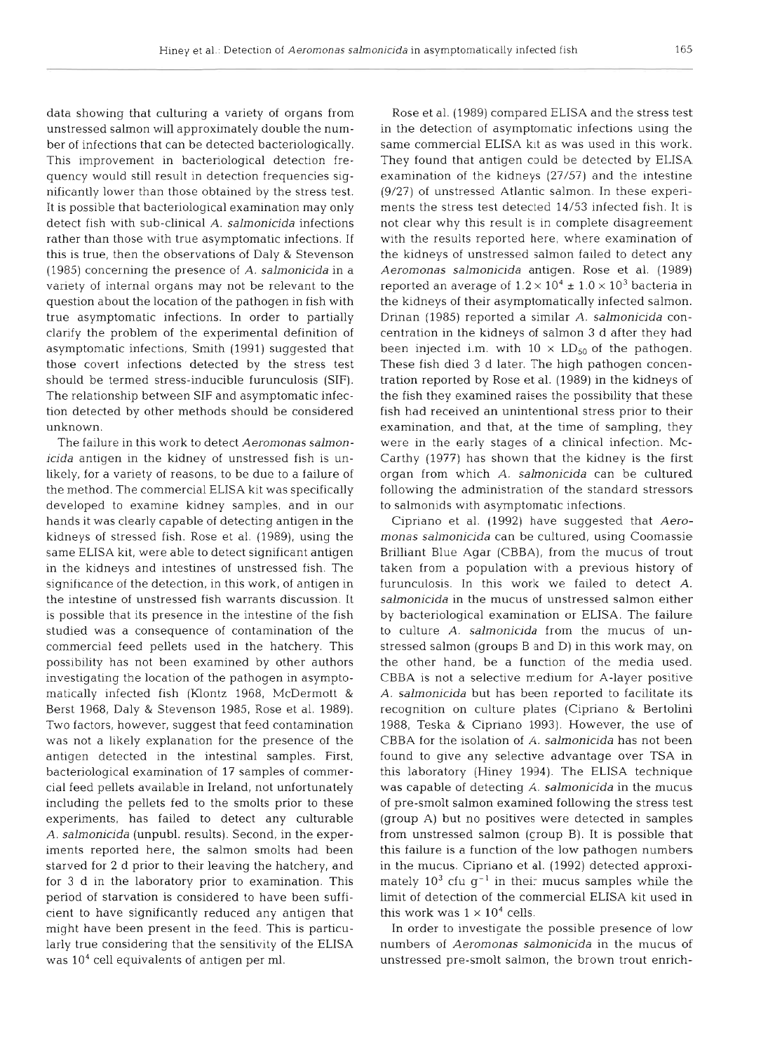data showing that culturing a variety of organs from unstressed salmon will approximately double the number of infections that can be detected bacteriologically. This improvement in bacteriological detection frequency would still result in detection frequencies significantly lower than those obtained by the stress test. It is possible that bacteriological examination may only detect fish with sub-clinical *A. salrnonicida* infections rather than those with true asymptomatic infections. If this is true, then the observations of Daly & Stevenson (1985) concerning the presence of *A. salmonicida* in a variety of internal organs may not be relevant to the question about the location of the pathogen in fish with true asymptomatic infections. In order to partially clarify the problem of the experimental definition of asymptomatic infections, Smith (1991) suggested that those covert infections detected by the stress test should be termed stress-inducible furunculosis (SIF). The relationship between SIF and asymptomatic infection detected by other methods should be considered unknown.

The failure in this work to detect *Aeromonas salmonicida* antigen in the kidney of unstressed fish is unlikely, for a variety of reasons, to be due to a failure of the method. The commercial ELISA kit was specifically developed to examine kidney samples, and in our hands it was clearly capable of detecting antigen in the kidneys of stressed fish. Rose et al. (1989), using the same ELISA kit, were able to detect significant antigen in the kidneys and intestines of unstressed fish. The significance of the detection, in this work, of antigen in the intestine of unstressed fish warrants discussion. It is possible that its presence in the intestine of the fish studied was a consequence of contamination of the commercial feed pellets used in the hatchery. This possibility has not been examined by other authors investigating the location of the pathogen in asymptomatically infected fish (Klontz 1968, McDermott & Berst 1968, Daly & Stevenson 1985, Rose et al. 1989). Two factors, however, suggest that feed contamination was not a likely explanation for the presence of the antigen detected in the intestinal samples. First, bacteriological examination of 17 samples of commercial feed pellets available in Ireland, not unfortunately including the pellets fed to the smolts prior to these experiments, has failed to detect any culturable *A. salrnonicida* (unpubl. results). Second, in the experiments reported here, the salmon smolts had been starved for 2 d prior to their leaving the hatchery, and for 3 d in the laboratory prior to examination. This period of starvation is considered to have been sufficient to have significantly reduced any antigen that might have been present in the feed. This is particularly true considering that the sensitivity of the ELISA was 104 cell equivalents of antigen per ml.

Rose et al. (1989) compared ELISA and the stress test in the detection of asymptomatic infections using the same commercial ELISA kit as was used in this work. They found that antigen could be detected by ELISA examination of the kidneys (27/57) and the intestine (9/27) of unstressed Atlantic salmon. In these experiments the stress test detected 14/53 infected fish. It is not clear why this result is in complete disagreement with the results reported here, where examination of the kidneys of unstressed salmon failed to detect any *Aerornonas salmonicida* antigen. Rose et al. (1989) reported an average of  $1.2 \times 10^4 \pm 1.0 \times 10^3$  bacteria in the kidneys of their asymptomatically infected salmon. Drinan (1985) reported a similar *A. salrnonicida* concentration in the kidneys of salmon 3 d after they had been injected i.m. with  $10 \times LD_{50}$  of the pathogen. These fish died 3 d later. The high pathogen concentration reported by Rose et al. (1989) in the kidneys of the fish they examined raises the possibility that these fish had received an unintentional stress prior to their examination, and that, at the time of sampling, they were in the early stages of a clinical infection. Mc-Carthy (1977) has shown that the kidney is the first organ from which *A. salmonicida* can be cultured following the administration of the standard stressors to salmonids with asymptomatic infections.

Cipriano et al. (1992) have suggested that *Aeromonas salmonicida* can be cultured, using Coomassie Brilliant Blue Agar (CBBA), from the mucus of trout taken from a population with a previous history of furunculosis. In this work we failed to detect *A. sahonicida* in the mucus of unstressed salmon either by bacteriological examination or ELISA. The failure to culture A. *salmonicida* from the mucus of unstressed salmon (groups B and D) in this work may, on the other hand, be a function of the media used. CBBA is not a selective medium for A-layer positive *A. salmonicida* but has been reported to facilitate its recognition on culture plates (Cipriano & Bertolini 1988, Teska & Cipnano 1993). However, the use of CBBA for the isolation of A. *salrnonicida* has not been found to give any selective advantage over TSA in this laboratory (Hiney 1994). The ELISA technique was capable of detecting *A. salmonicida* in the mucus of pre-smolt salmon examined following the stress test (group A) but no positives were detected in samples from unstressed salmon (group B). It is possible that this failure is a function of the low pathogen numbers in the mucus. Cipriano et al. (1992) detected approximately  $10^3$  cfu g<sup>-1</sup> in their mucus samples while the limit of detection of the commercial ELISA kit used in this work was  $1 \times 10^4$  cells.

In order to investigate the possible presence of low numbers of *Aeromonas sahonicida* in the mucus of unstressed pre-smolt salmon, the brown trout enrich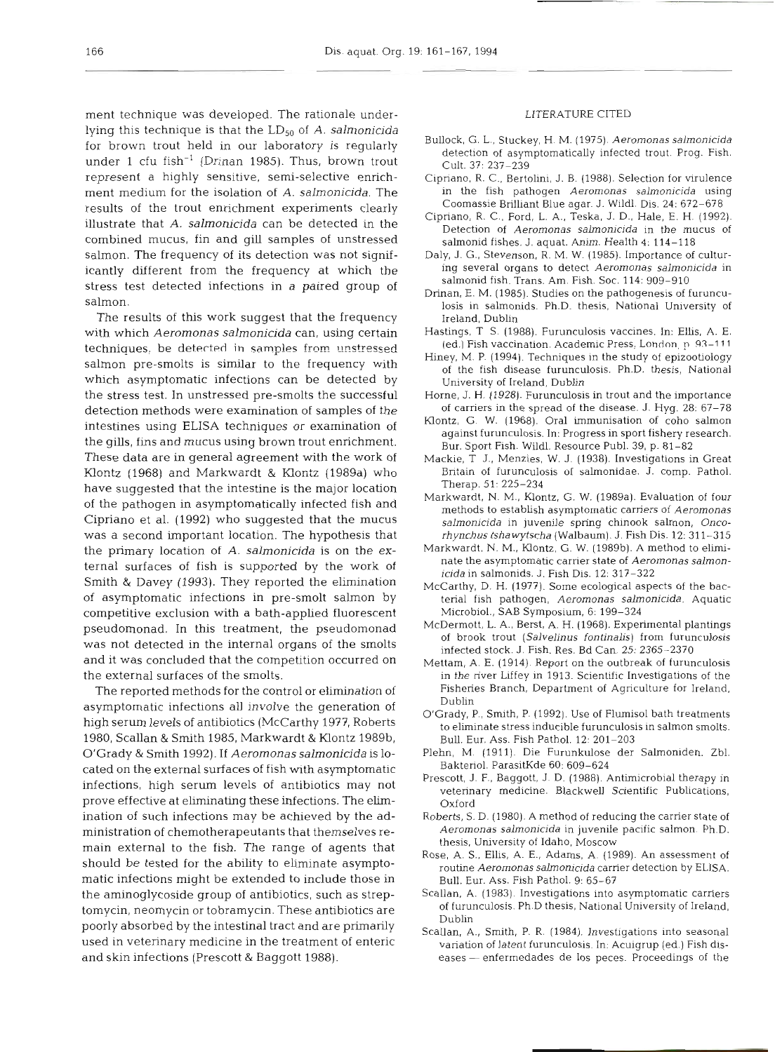ment technique was developed. The rationale underlying this technique is that the LD<sub>50</sub> of A. *salmonicida* for brown trout held in our laboratory is regularly under 1 cfu fish-' (Drinan 1985). Thus, brown trout represent a highly sensitive, semi-selective enrichment medium for the isolation of A. *salmonicida.* The results of the trout enrichment experiments clearly illustrate that **A.** *salmonicida* can be detected in the combined mucus, fin and gill samples of unstressed salmon. The frequency of its detection was not significantly different from the frequency at which the stress test detected infections in a paired group of salmon.

The results of this work suggest that the frequency with which *Aeromonas salmonicida* can, using certain techniques, be detected in samples from unstressed salmon pre-smolts is similar to the frequency with which asymptomatic infections can be detected by the stress test. In unstressed pre-smolts the successful detection methods were examination of samples of the intestines using ELISA techniques or examination of the gills, fins and mucus using brown trout enrichment. These data are in general agreement with the work of Klontz (1968) and Markwardt & Klontz (1989a) who have suggested that the intestine is the major location of the pathogen in asymptomatically infected fish and Cipriano et al. (1992) who suggested that the mucus was a second important location. The hypothesis that the primary location of A. *salmonicida* is on the external surfaces of fish is supported by the work of Smith & Davey (1993). They reported the elimination of asymptomatic infections in pre-smolt salmon by competitive exclusion with a bath-applied fluorescent pseudomonad. In this treatment, the pseudomonad was not detected in the internal organs of the smolts and it was concluded that the competition occurred on the external surfaces of the smolts.

The reported methods for the control or elimination of asymptomatic infections all involve the generation of high serum levels of antibiotics (McCarthy 1977, Roberts 1980, Scallan & Smith 1985, Markwardt & Klontz 1989b, O'Grady & Smith 1992). If *Aeromonas salmonicida* is located on the external surfaces of fish with asymptomatic infections, high serum levels of antibiotics may not prove effective at eliminating these infections. The elimination of such infections may be achieved by the administration of chemotherapeutants that themselves remain external to the fish. The range of agents that should be tested for the ability to eliminate asymptomatic infections might be extended to include those in the aminoglycoside group of antibiotics, such as streptomycin, neomycin or tobramycin. These antibiotics are poorly absorbed by the intestinal tract and are primarily used in veterinary medicine in the treatment of enteric and skin infections (Prescott & Baggott 1988).

#### LITERATURE CITED

- Bullock, G. L., Stuckey. H. M. (1975) Aeromonas salmonicida detection of asymptomatically infected trout. Prog. Fish. Cult. 37: 237-239
- Cipriano, R. C., Bertolini, J. B. (1988). Selection for virulence in the fish pathogen Aeromonas salmonicida using Coomassie Brilliant Blue agar. J. Wildl. Dis. 24: 672-678
- Cipriano, R. C., Ford, L. A., Teska, J. D., Hale, E. H. (1992). Detection of Aeromonas salmonicida in the mucus of salmonid fishes. J. aquat. Anim. Health 4: 114-118
- Daly, J. G.. Stevenson. R. M. W. (1985). Importance of culturing several organs to detect Aeromonas salmonicida in salmonid fish. Trans. Am. Fish. Soc. 114: 909-910
- Drinan, E. M. (1985). Studies on the pathogenesis of furunculosis in salmonids. Ph.D. thesis, National University of Ireland, Dublin
- Hastings, T S. (1988). Furunculosis vaccines. In: Ellis, A. E. (ed.) Fish vaccination. Academic Press, London, p. 93–111
- Hiney. M. P. (1994). Techniques in the study of epizootiology of the fish disease furunculosis. Ph.D. thesis, National University of Ireland, Dublin
- Horne, J. H. (1928). Furunculosis in trout and the importance of carriers in the spread of the disease. J. Hyg. 28: 67-78
- Klontz, G. W. (1968). Oral immunisation of coho salmon against furunculosis. In: Progress in sport fishery research. Bur. Sport Fish. Wildl. Resource Publ. 39, p. 81-82
- Mackie, T J., Menzies, W. J. (1938). Investigations in Great Britain of furunculosis of salmonidae. J. comp. Pathol. Therap. 51: 225-234
- Markwardt, N. M., Klontz, G. W. (1989a). Evaluation of four methods to establish asymptomatic carriers of Aeromonas salmonicida in juvenile spring chinook salmon, Oncorhynchus tshawytscha (Walbaum). J. Fish Dis. 12: 31 1-315
- Markwardt, N. M., Klontz, G. W. (1989b). A method to eliminate the asymptomatic carrier state of Aeromonas salmonicida in salmonids. J. Fish Dis. 12: 317-322
- McCarthy, D. H. (1977). Some ecological aspects of the bacterial fish pathogen, Aeromonas salmonicida. Aquatic Microbiol., SAB Symposium. 6: 199-324
- McDermott, L. **A.,** Berst, **A.** H. (1968). Experimental plantings of brook trout (Salvelinus fontinalis) from furunculosis infected stock. J. Fish. Res. Bd Can. 25: 2365-2370
- Mettam, A. E. (1914) Report on the outbreak of furunculosis in the river Liffey in 1913. Scientific Investigations of the Fisheries Branch. Department of Agriculture for Ireland, Dublin
- O'Grady, P,, Smith, P. (1992). Use of Flumisol bath treatments to eliminate stress inducible furunculosis in salmon smolts. **Bull.** Eur. Ass. Fish Pathol. 12: 201-203
- Plehn, M. (1911). Die Furunkulose der Salmoniden. Zbl. Bakteriol. ParasitKde 60: 609-624
- Prescott, J. F., Baggott, J. D. (1988). Antimicrobial therapy in veterinary medicine. Blackwell Scientific Publications, Oxford
- Roberts, S. D. (1980). **A** method of reducing the carrier state of Aeromonas salmonicida in juvenile pacific salmon. Ph.D. thesis, University of Idaho, Moscow
- Rose, A. S., Ellis, A. E., Adarns, A. (1989). An assessment of routine Aeromonas salmonicida carrier detection by ELISA. Bull. Eur. Ass. Fish Pathol. 9: 65-67
- Scallan, A. (1983). Investigations into asymptomatic carriers of furunculosis. Ph.D thesis, National University of Ireland, Dublin
- Scallan, **A.,** Smith, P. R. (1984). Investigations into seasonal variation of latent furunculosis. In: Acuigrup (ed.) Fish diseases — enfermedades de los peces. Proceedings of the